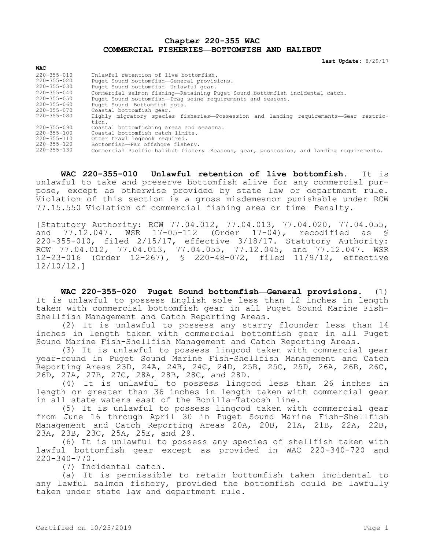**Chapter 220-355 WAC COMMERCIAL FISHERIES—BOTTOMFISH AND HALIBUT**

**Last Update:** 8/29/17

| <b>WAC</b>        |                                                                                         |
|-------------------|-----------------------------------------------------------------------------------------|
| $220 - 355 - 010$ | Unlawful retention of live bottomfish.                                                  |
| $220 - 355 - 020$ | Puget Sound bottomfish-General provisions.                                              |
| $220 - 355 - 030$ | Puget Sound bottomfish-Unlawful gear.                                                   |
| $220 - 355 - 040$ | Commercial salmon fishing-Retaining Puget Sound bottomfish incidental catch.            |
| $220 - 355 - 050$ | Puget Sound bottomfish-Drag seine requirements and seasons.                             |
| $220 - 355 - 060$ | Puget Sound-Bottomfish pots.                                                            |
| 220-355-070       | Coastal bottomfish gear.                                                                |
| $220 - 355 - 080$ | Highly migratory species fisheries-Possession and landing requirements-Gear restric-    |
|                   | tion.                                                                                   |
| $220 - 355 - 090$ | Coastal bottomfishing areas and seasons.                                                |
| $220 - 355 - 100$ | Coastal bottomfish catch limits.                                                        |
| 220-355-110       | Otter trawl logbook required.                                                           |
| 220-355-120       | Bottomfish-Far offshore fishery.                                                        |
| $220 - 355 - 130$ | Commercial Pacific halibut fishery-Seasons, gear, possession, and landing requirements. |

**WAC 220-355-010 Unlawful retention of live bottomfish.** It is unlawful to take and preserve bottomfish alive for any commercial purpose, except as otherwise provided by state law or department rule. Violation of this section is a gross misdemeanor punishable under RCW 77.15.550 Violation of commercial fishing area or time—Penalty.

[Statutory Authority: RCW 77.04.012, 77.04.013, 77.04.020, 77.04.055, and 77.12.047. WSR 17-05-112 (Order 17-04), recodified as § 220-355-010, filed 2/15/17, effective 3/18/17. Statutory Authority: RCW 77.04.012, 77.04.013, 77.04.055, 77.12.045, and 77.12.047. WSR 12-23-016 (Order 12-267), § 220-48-072, filed 11/9/12, effective 12/10/12.]

**WAC 220-355-020 Puget Sound bottomfish—General provisions.** (1) It is unlawful to possess English sole less than 12 inches in length taken with commercial bottomfish gear in all Puget Sound Marine Fish-Shellfish Management and Catch Reporting Areas.

(2) It is unlawful to possess any starry flounder less than 14 inches in length taken with commercial bottomfish gear in all Puget Sound Marine Fish-Shellfish Management and Catch Reporting Areas.

(3) It is unlawful to possess lingcod taken with commercial gear year-round in Puget Sound Marine Fish-Shellfish Management and Catch Reporting Areas 23D, 24A, 24B, 24C, 24D, 25B, 25C, 25D, 26A, 26B, 26C, 26D, 27A, 27B, 27C, 28A, 28B, 28C, and 28D.

(4) It is unlawful to possess lingcod less than 26 inches in length or greater than 36 inches in length taken with commercial gear in all state waters east of the Bonilla-Tatoosh line.

(5) It is unlawful to possess lingcod taken with commercial gear from June 16 through April 30 in Puget Sound Marine Fish-Shellfish Management and Catch Reporting Areas 20A, 20B, 21A, 21B, 22A, 22B, 23A, 23B, 23C, 25A, 25E, and 29.

(6) It is unlawful to possess any species of shellfish taken with lawful bottomfish gear except as provided in WAC 220-340-720 and 220-340-770.

(7) Incidental catch.

(a) It is permissible to retain bottomfish taken incidental to any lawful salmon fishery, provided the bottomfish could be lawfully taken under state law and department rule.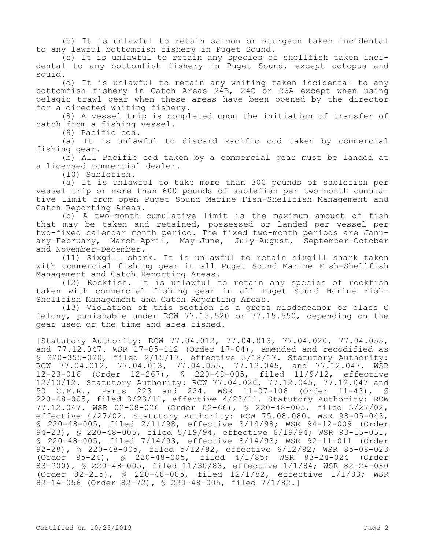(b) It is unlawful to retain salmon or sturgeon taken incidental to any lawful bottomfish fishery in Puget Sound.

(c) It is unlawful to retain any species of shellfish taken incidental to any bottomfish fishery in Puget Sound, except octopus and squid.

(d) It is unlawful to retain any whiting taken incidental to any bottomfish fishery in Catch Areas 24B, 24C or 26A except when using pelagic trawl gear when these areas have been opened by the director for a directed whiting fishery.

(8) A vessel trip is completed upon the initiation of transfer of catch from a fishing vessel.

(9) Pacific cod.

(a) It is unlawful to discard Pacific cod taken by commercial fishing gear.

(b) All Pacific cod taken by a commercial gear must be landed at a licensed commercial dealer.

(10) Sablefish.

(a) It is unlawful to take more than 300 pounds of sablefish per vessel trip or more than 600 pounds of sablefish per two-month cumulative limit from open Puget Sound Marine Fish-Shellfish Management and Catch Reporting Areas.

(b) A two-month cumulative limit is the maximum amount of fish that may be taken and retained, possessed or landed per vessel per two-fixed calendar month period. The fixed two-month periods are January-February, March-April, May-June, July-August, September-October and November-December.

(11) Sixgill shark. It is unlawful to retain sixgill shark taken with commercial fishing gear in all Puget Sound Marine Fish-Shellfish Management and Catch Reporting Areas.

(12) Rockfish. It is unlawful to retain any species of rockfish taken with commercial fishing gear in all Puget Sound Marine Fish-Shellfish Management and Catch Reporting Areas.

(13) Violation of this section is a gross misdemeanor or class C felony, punishable under RCW 77.15.520 or 77.15.550, depending on the gear used or the time and area fished.

[Statutory Authority: RCW 77.04.012, 77.04.013, 77.04.020, 77.04.055, and  $77.12.047$ . WSR  $17-05-112$  (Order  $17-04$ ), amended and recodified as § 220-355-020, filed 2/15/17, effective 3/18/17. Statutory Authority: RCW 77.04.012, 77.04.013, 77.04.055, 77.12.045, and 77.12.047. WSR 12-23-016 (Order 12-267), § 220-48-005, filed 11/9/12, effective 12/10/12. Statutory Authority: RCW 77.04.020, 77.12.045, 77.12.047 and 50 C.F.R., Parts 223 and 224. WSR 11-07-106 (Order 11-43), § 220-48-005, filed 3/23/11, effective 4/23/11. Statutory Authority: RCW 77.12.047. WSR 02-08-026 (Order 02-66), § 220-48-005, filed 3/27/02, effective 4/27/02. Statutory Authority: RCW 75.08.080. WSR 98-05-043, § 220-48-005, filed 2/11/98, effective 3/14/98; WSR 94-12-009 (Order 94-23), § 220-48-005, filed 5/19/94, effective 6/19/94; WSR 93-15-051, § 220-48-005, filed 7/14/93, effective 8/14/93; WSR 92-11-011 (Order 92-28), § 220-48-005, filed 5/12/92, effective 6/12/92; WSR 85-08-023 (Order 85-24), § 220-48-005, filed 4/1/85; WSR 83-24-024 (Order 83-200), § 220-48-005, filed 11/30/83, effective 1/1/84; WSR 82-24-080 (Order 82-215), § 220-48-005, filed 12/1/82, effective 1/1/83; WSR 82-14-056 (Order 82-72), § 220-48-005, filed 7/1/82.]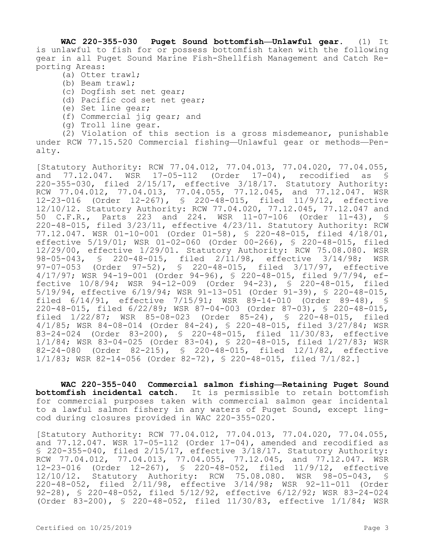**WAC 220-355-030 Puget Sound bottomfish—Unlawful gear.** (1) It is unlawful to fish for or possess bottomfish taken with the following gear in all Puget Sound Marine Fish-Shellfish Management and Catch Reporting Areas:

- (a) Otter trawl;
- (b) Beam trawl;
- (c) Dogfish set net gear;
- (d) Pacific cod set net gear;
- (e) Set line gear;
- (f) Commercial jig gear; and
- (g) Troll line gear.

(2) Violation of this section is a gross misdemeanor, punishable under RCW 77.15.520 Commercial fishing—Unlawful gear or methods—Penalty.

[Statutory Authority: RCW 77.04.012, 77.04.013, 77.04.020, 77.04.055, and 77.12.047. WSR 17-05-112 (Order 17-04), recodified as § 220-355-030, filed 2/15/17, effective 3/18/17. Statutory Authority: RCW 77.04.012, 77.04.013, 77.04.055, 77.12.045, and 77.12.047. WSR 12-23-016 (Order 12-267), § 220-48-015, filed 11/9/12, effective 12/10/12. Statutory Authority: RCW 77.04.020, 77.12.045, 77.12.047 and 50 C.F.R., Parts 223 and 224. WSR 11-07-106 (Order 11-43), § 220-48-015, filed 3/23/11, effective 4/23/11. Statutory Authority: RCW 77.12.047. WSR 01-10-001 (Order 01-58), § 220-48-015, filed 4/18/01, effective 5/19/01; WSR 01-02-060 (Order 00-266), § 220-48-015, filed 12/29/00, effective 1/29/01. Statutory Authority: RCW 75.08.080. WSR 98-05-043, § 220-48-015, filed 2/11/98, effective 3/14/98; WSR 97-07-053 (Order 97-52), § 220-48-015, filed 3/17/97, effective 4/17/97; WSR 94-19-001 (Order 94-96), § 220-48-015, filed 9/7/94, effective 10/8/94; WSR 94-12-009 (Order 94-23), § 220-48-015, filed 5/19/94, effective 6/19/94; WSR 91-13-051 (Order 91-39), § 220-48-015, filed 6/14/91, effective 7/15/91; WSR 89-14-010 (Order 89-48), § 220-48-015, filed 6/22/89; WSR 87-04-003 (Order 87-03), § 220-48-015, filed 1/22/87; WSR 85-08-023 (Order 85-24), § 220-48-015, filed 4/1/85; WSR 84-08-014 (Order 84-24), § 220-48-015, filed 3/27/84; WSR 83-24-024 (Order 83-200), § 220-48-015, filed 11/30/83, effective 1/1/84; WSR 83-04-025 (Order 83-04), § 220-48-015, filed 1/27/83; WSR 82-24-080 (Order 82-215), § 220-48-015, filed 12/1/82, effective 1/1/83; WSR 82-14-056 (Order 82-72), § 220-48-015, filed 7/1/82.]

**WAC 220-355-040 Commercial salmon fishing—Retaining Puget Sound bottomfish incidental catch.** It is permissible to retain bottomfish for commercial purposes taken with commercial salmon gear incidental to a lawful salmon fishery in any waters of Puget Sound, except lingcod during closures provided in WAC 220-355-020.

[Statutory Authority: RCW 77.04.012, 77.04.013, 77.04.020, 77.04.055, and  $77.12.047$ . WSR  $17-05-112$  (Order  $17-04$ ), amended and recodified as § 220-355-040, filed 2/15/17, effective 3/18/17. Statutory Authority: RCW 77.04.012, 77.04.013, 77.04.055, 77.12.045, and 77.12.047. WSR 12-23-016 (Order 12-267), § 220-48-052, filed 11/9/12, effective 12/10/12. Statutory Authority: RCW 75.08.080. WSR 98-05-043, § 220-48-052, filed 2/11/98, effective 3/14/98; WSR 92-11-011 (Order 92-28), § 220-48-052, filed 5/12/92, effective 6/12/92; WSR 83-24-024 (Order 83-200), § 220-48-052, filed 11/30/83, effective 1/1/84; WSR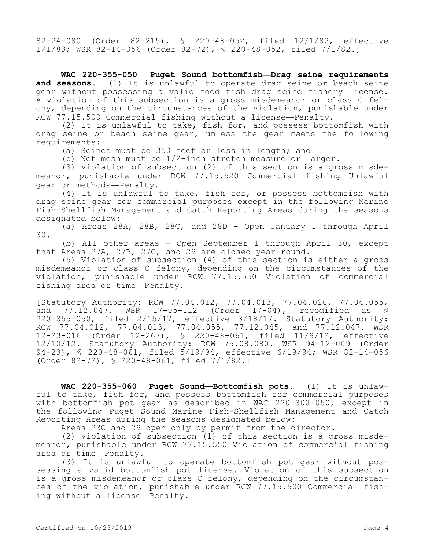82-24-080 (Order 82-215), § 220-48-052, filed 12/1/82, effective 1/1/83; WSR 82-14-056 (Order 82-72), § 220-48-052, filed 7/1/82.]

**WAC 220-355-050 Puget Sound bottomfish—Drag seine requirements and seasons.** (1) It is unlawful to operate drag seine or beach seine gear without possessing a valid food fish drag seine fishery license. A violation of this subsection is a gross misdemeanor or class C felony, depending on the circumstances of the violation, punishable under RCW 77.15.500 Commercial fishing without a license—Penalty.

(2) It is unlawful to take, fish for, and possess bottomfish with drag seine or beach seine gear, unless the gear meets the following requirements:

(a) Seines must be 350 feet or less in length; and

(b) Net mesh must be 1/2-inch stretch measure or larger.

(3) Violation of subsection (2) of this section is a gross misdemeanor, punishable under RCW 77.15.520 Commercial fishing—Unlawful gear or methods—Penalty.

(4) It is unlawful to take, fish for, or possess bottomfish with drag seine gear for commercial purposes except in the following Marine Fish-Shellfish Management and Catch Reporting Areas during the seasons designated below:

(a) Areas 28A, 28B, 28C, and 28D - Open January 1 through April 30.

(b) All other areas - Open September 1 through April 30, except that Areas 27A, 27B, 27C, and 29 are closed year-round.

(5) Violation of subsection (4) of this section is either a gross misdemeanor or class C felony, depending on the circumstances of the violation, punishable under RCW 77.15.550 Violation of commercial fishing area or time—Penalty.

[Statutory Authority: RCW 77.04.012, 77.04.013, 77.04.020, 77.04.055, and  $77.12.047$ . WSR  $17-05-112$  (Order  $17-04$ ), recodified as § 220-355-050, filed 2/15/17, effective 3/18/17. Statutory Authority: RCW 77.04.012, 77.04.013, 77.04.055, 77.12.045, and 77.12.047. WSR 12-23-016 (Order 12-267), § 220-48-061, filed 11/9/12, effective 12/10/12. Statutory Authority: RCW 75.08.080. WSR 94-12-009 (Order 94-23), § 220-48-061, filed 5/19/94, effective 6/19/94; WSR 82-14-056 (Order 82-72), § 220-48-061, filed 7/1/82.]

**WAC 220-355-060 Puget Sound—Bottomfish pots.** (1) It is unlawful to take, fish for, and possess bottomfish for commercial purposes with bottomfish pot gear as described in WAC 220-300-050, except in the following Puget Sound Marine Fish-Shellfish Management and Catch Reporting Areas during the seasons designated below:

Areas 23C and 29 open only by permit from the director.

(2) Violation of subsection (1) of this section is a gross misdemeanor, punishable under RCW 77.15.550 Violation of commercial fishing area or time—Penalty.

(3) It is unlawful to operate bottomfish pot gear without possessing a valid bottomfish pot license. Violation of this subsection is a gross misdemeanor or class C felony, depending on the circumstances of the violation, punishable under RCW 77.15.500 Commercial fishing without a license—Penalty.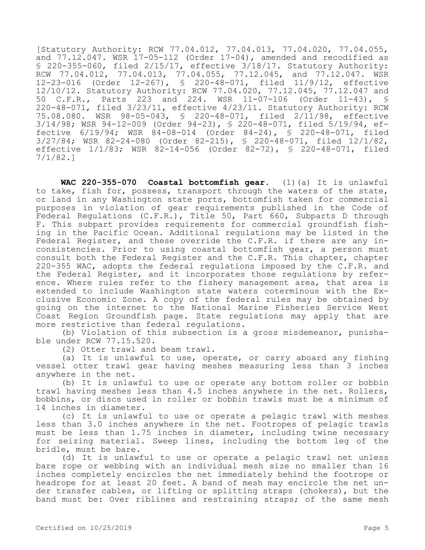[Statutory Authority: RCW 77.04.012, 77.04.013, 77.04.020, 77.04.055, and  $77.12.047$ . WSR  $17-05-112$  (Order  $17-04$ ), amended and recodified as § 220-355-060, filed  $2/15/17$ , effective  $3/18/17$ . Statutory Authority: RCW 77.04.012, 77.04.013, 77.04.055, 77.12.045, and 77.12.047. WSR 12-23-016 (Order 12-267), § 220-48-071, filed 11/9/12, effective 12/10/12. Statutory Authority: RCW 77.04.020, 77.12.045, 77.12.047 and<br>50 C.F.R., Parts 223 and 224. WSR 11-07-106 (Order 11-43), § 50 C.F.R., Parts 223 and 224. WSR 11-07-106 (Order 11-43), § 220-48-071, filed 3/23/11, effective 4/23/11. Statutory Authority: RCW 75.08.080. WSR 98-05-043, § 220-48-071, filed 2/11/98, effective 3/14/98; WSR 94-12-009 (Order 94-23), § 220-48-071, filed 5/19/94, effective 6/19/94; WSR 84-08-014 (Order 84-24), § 220-48-071, filed 3/27/84; WSR 82-24-080 (Order 82-215), § 220-48-071, filed 12/1/82, effective 1/1/83; WSR 82-14-056 (Order 82-72), § 220-48-071, filed 7/1/82.]

**WAC 220-355-070 Coastal bottomfish gear.** (1)(a) It is unlawful to take, fish for, possess, transport through the waters of the state, or land in any Washington state ports, bottomfish taken for commercial purposes in violation of gear requirements published in the Code of Federal Regulations (C.F.R.), Title 50, Part 660, Subparts D through F. This subpart provides requirements for commercial groundfish fishing in the Pacific Ocean. Additional regulations may be listed in the Federal Register, and these override the C.F.R. if there are any inconsistencies. Prior to using coastal bottomfish gear, a person must consult both the Federal Register and the C.F.R. This chapter, chapter 220-355 WAC, adopts the federal regulations imposed by the C.F.R. and the Federal Register, and it incorporates those regulations by reference. Where rules refer to the fishery management area, that area is extended to include Washington state waters coterminous with the Exclusive Economic Zone. A copy of the federal rules may be obtained by going on the internet to the National Marine Fisheries Service West Coast Region Groundfish page. State regulations may apply that are more restrictive than federal regulations.

(b) Violation of this subsection is a gross misdemeanor, punishable under RCW 77.15.520.

(2) Otter trawl and beam trawl.

(a) It is unlawful to use, operate, or carry aboard any fishing vessel otter trawl gear having meshes measuring less than 3 inches anywhere in the net.

(b) It is unlawful to use or operate any bottom roller or bobbin trawl having meshes less than 4.5 inches anywhere in the net. Rollers, bobbins, or discs used in roller or bobbin trawls must be a minimum of 14 inches in diameter.

(c) It is unlawful to use or operate a pelagic trawl with meshes less than 3.0 inches anywhere in the net. Footropes of pelagic trawls must be less than 1.75 inches in diameter, including twine necessary for seizing material. Sweep lines, including the bottom leg of the bridle, must be bare.

(d) It is unlawful to use or operate a pelagic trawl net unless bare rope or webbing with an individual mesh size no smaller than 16 inches completely encircles the net immediately behind the footrope or headrope for at least 20 feet. A band of mesh may encircle the net under transfer cables, or lifting or splitting straps (chokers), but the band must be: Over riblines and restraining straps; of the same mesh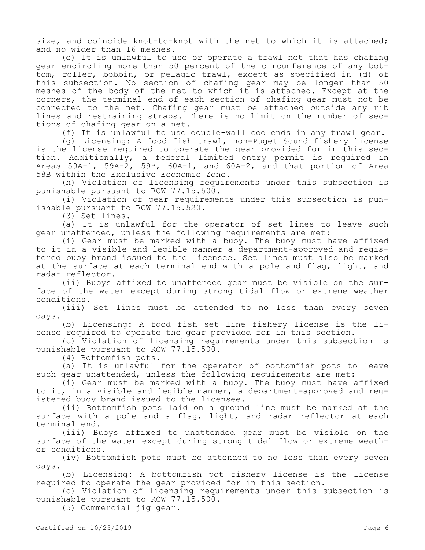size, and coincide knot-to-knot with the net to which it is attached; and no wider than 16 meshes.

(e) It is unlawful to use or operate a trawl net that has chafing gear encircling more than 50 percent of the circumference of any bottom, roller, bobbin, or pelagic trawl, except as specified in (d) of this subsection. No section of chafing gear may be longer than 50 meshes of the body of the net to which it is attached. Except at the corners, the terminal end of each section of chafing gear must not be connected to the net. Chafing gear must be attached outside any rib lines and restraining straps. There is no limit on the number of sections of chafing gear on a net.

(f) It is unlawful to use double-wall cod ends in any trawl gear.

(g) Licensing: A food fish trawl, non-Puget Sound fishery license is the license required to operate the gear provided for in this section. Additionally, a federal limited entry permit is required in Areas 59A-1, 59A-2, 59B, 60A-1, and 60A-2, and that portion of Area 58B within the Exclusive Economic Zone.

(h) Violation of licensing requirements under this subsection is punishable pursuant to RCW 77.15.500.

(i) Violation of gear requirements under this subsection is punishable pursuant to RCW 77.15.520.

(3) Set lines.

(a) It is unlawful for the operator of set lines to leave such gear unattended, unless the following requirements are met:

(i) Gear must be marked with a buoy. The buoy must have affixed to it in a visible and legible manner a department-approved and registered buoy brand issued to the licensee. Set lines must also be marked at the surface at each terminal end with a pole and flag, light, and radar reflector.

(ii) Buoys affixed to unattended gear must be visible on the surface of the water except during strong tidal flow or extreme weather conditions.

(iii) Set lines must be attended to no less than every seven days.

(b) Licensing: A food fish set line fishery license is the license required to operate the gear provided for in this section.

(c) Violation of licensing requirements under this subsection is punishable pursuant to RCW 77.15.500.

(4) Bottomfish pots.

(a) It is unlawful for the operator of bottomfish pots to leave such gear unattended, unless the following requirements are met:

(i) Gear must be marked with a buoy. The buoy must have affixed to it, in a visible and legible manner, a department-approved and registered buoy brand issued to the licensee.

(ii) Bottomfish pots laid on a ground line must be marked at the surface with a pole and a flag, light, and radar reflector at each terminal end.

(iii) Buoys affixed to unattended gear must be visible on the surface of the water except during strong tidal flow or extreme weather conditions.

(iv) Bottomfish pots must be attended to no less than every seven days.

(b) Licensing: A bottomfish pot fishery license is the license required to operate the gear provided for in this section.

(c) Violation of licensing requirements under this subsection is punishable pursuant to RCW 77.15.500.

(5) Commercial jig gear.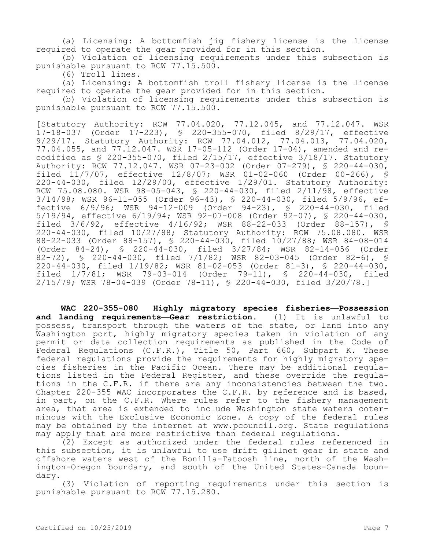(a) Licensing: A bottomfish jig fishery license is the license required to operate the gear provided for in this section.

(b) Violation of licensing requirements under this subsection is punishable pursuant to RCW 77.15.500.

(6) Troll lines.

(a) Licensing: A bottomfish troll fishery license is the license required to operate the gear provided for in this section.

(b) Violation of licensing requirements under this subsection is punishable pursuant to RCW 77.15.500.

[Statutory Authority: RCW 77.04.020, 77.12.045, and 77.12.047. WSR 17-18-037 (Order 17-223), § 220-355-070, filed 8/29/17, effective 9/29/17. Statutory Authority: RCW 77.04.012, 77.04.013, 77.04.020, 77.04.055, and 77.12.047. WSR 17-05-112 (Order 17-04), amended and recodified as § 220-355-070, filed 2/15/17, effective 3/18/17. Statutory Authority: RCW 77.12.047. WSR 07-23-002 (Order 07-279), § 220-44-030, filed 11/7/07, effective 12/8/07; WSR 01-02-060 (Order 00-266), § 220-44-030, filed 12/29/00, effective 1/29/01. Statutory Authority: RCW 75.08.080. WSR 98-05-043, § 220-44-030, filed 2/11/98, effective 3/14/98; WSR 96-11-055 (Order 96-43), § 220-44-030, filed 5/9/96, effective 6/9/96; WSR 94-12-009 (Order 94-23), § 220-44-030, filed 5/19/94, effective 6/19/94; WSR 92-07-008 (Order 92-07), § 220-44-030, filed 3/6/92, effective 4/16/92; WSR 88-22-033 (Order 88-157), § 220-44-030, filed 10/27/88; Statutory Authority: RCW 75.08.080. WSR 88-22-033 (Order 88-157), § 220-44-030, filed 10/27/88; WSR 84-08-014 (Order 84-24), § 220-44-030, filed 3/27/84; WSR 82-14-056 (Order 82-72), § 220-44-030, filed 7/1/82; WSR 82-03-045 (Order 82-6), § 220-44-030, filed 1/19/82; WSR 81-02-053 (Order 81-3), § 220-44-030, filed 1/7/81; WSR 79-03-014 (Order 79-11), § 220-44-030, filed 2/15/79; WSR 78-04-039 (Order 78-11), § 220-44-030, filed 3/20/78.]

**WAC 220-355-080 Highly migratory species fisheries—Possession and landing requirements—Gear restriction.** (1) It is unlawful to possess, transport through the waters of the state, or land into any Washington port, highly migratory species taken in violation of any permit or data collection requirements as published in the Code of Federal Regulations (C.F.R.), Title 50, Part 660, Subpart K. These federal regulations provide the requirements for highly migratory species fisheries in the Pacific Ocean. There may be additional regulations listed in the Federal Register, and these override the regulations in the C.F.R. if there are any inconsistencies between the two. Chapter 220-355 WAC incorporates the C.F.R. by reference and is based, in part, on the C.F.R. Where rules refer to the fishery management area, that area is extended to include Washington state waters coterminous with the Exclusive Economic Zone. A copy of the federal rules may be obtained by the internet at www.pcouncil.org. State regulations may apply that are more restrictive than federal regulations.

(2) Except as authorized under the federal rules referenced in this subsection, it is unlawful to use drift gillnet gear in state and offshore waters west of the Bonilla-Tatoosh line, north of the Washington-Oregon boundary, and south of the United States-Canada boundary.

(3) Violation of reporting requirements under this section is punishable pursuant to RCW 77.15.280.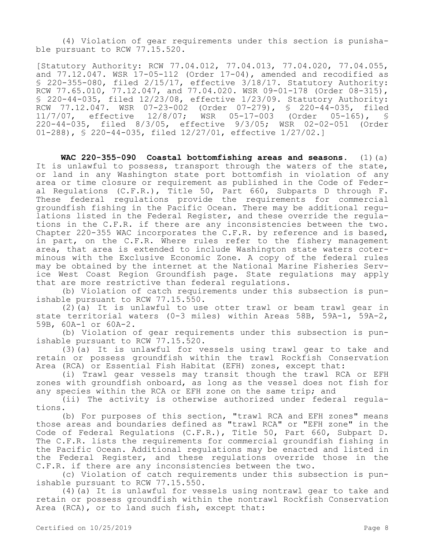(4) Violation of gear requirements under this section is punishable pursuant to RCW 77.15.520.

[Statutory Authority: RCW 77.04.012, 77.04.013, 77.04.020, 77.04.055, and  $77.12.047$ . WSR  $17-05-112$  (Order  $17-04$ ), amended and recodified as § 220-355-080, filed 2/15/17, effective 3/18/17. Statutory Authority: RCW 77.65.010, 77.12.047, and 77.04.020. WSR 09-01-178 (Order 08-315), § 220-44-035, filed 12/23/08, effective 1/23/09. Statutory Authority: RCW 77.12.047. WSR 07-23-002 (Order 07-279), § 220-44-035, filed<br>11/7/07, effective 12/8/07; WSR 05-17-003 (Order 05-165), § effective 12/8/07; WSR 05-17-003 (Order 05-165), § 220-44-035, filed 8/3/05, effective 9/3/05; WSR 02-02-051 (Order 01-288), § 220-44-035, filed 12/27/01, effective 1/27/02.]

**WAC 220-355-090 Coastal bottomfishing areas and seasons.** (1)(a) It is unlawful to possess, transport through the waters of the state, or land in any Washington state port bottomfish in violation of any area or time closure or requirement as published in the Code of Federal Regulations (C.F.R.), Title 50, Part 660, Subparts D through F. These federal regulations provide the requirements for commercial groundfish fishing in the Pacific Ocean. There may be additional regulations listed in the Federal Register, and these override the regulations in the C.F.R. if there are any inconsistencies between the two. Chapter 220-355 WAC incorporates the C.F.R. by reference and is based, in part, on the C.F.R. Where rules refer to the fishery management area, that area is extended to include Washington state waters coterminous with the Exclusive Economic Zone. A copy of the federal rules may be obtained by the internet at the National Marine Fisheries Service West Coast Region Groundfish page. State regulations may apply that are more restrictive than federal regulations.

(b) Violation of catch requirements under this subsection is punishable pursuant to RCW 77.15.550.

(2)(a) It is unlawful to use otter trawl or beam trawl gear in state territorial waters (0-3 miles) within Areas 58B, 59A-1, 59A-2, 59B, 60A-1 or 60A-2.

(b) Violation of gear requirements under this subsection is punishable pursuant to RCW 77.15.520.

(3)(a) It is unlawful for vessels using trawl gear to take and retain or possess groundfish within the trawl Rockfish Conservation Area (RCA) or Essential Fish Habitat (EFH) zones, except that:

(i) Trawl gear vessels may transit though the trawl RCA or EFH zones with groundfish onboard, as long as the vessel does not fish for any species within the RCA or EFH zone on the same trip; and

(ii) The activity is otherwise authorized under federal regulations.

(b) For purposes of this section, "trawl RCA and EFH zones" means those areas and boundaries defined as "trawl RCA" or "EFH zone" in the Code of Federal Regulations (C.F.R.), Title 50, Part 660, Subpart D. The C.F.R. lists the requirements for commercial groundfish fishing in the Pacific Ocean. Additional regulations may be enacted and listed in the Federal Register, and these regulations override those in the C.F.R. if there are any inconsistencies between the two.

(c) Violation of catch requirements under this subsection is punishable pursuant to RCW 77.15.550.

(4)(a) It is unlawful for vessels using nontrawl gear to take and retain or possess groundfish within the nontrawl Rockfish Conservation Area (RCA), or to land such fish, except that: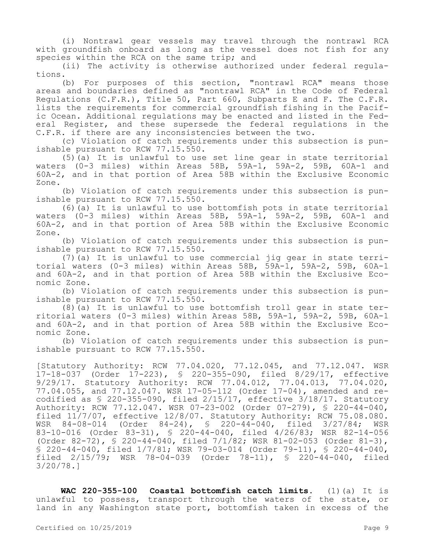(i) Nontrawl gear vessels may travel through the nontrawl RCA with groundfish onboard as long as the vessel does not fish for any species within the RCA on the same trip; and

(ii) The activity is otherwise authorized under federal regulations.

(b) For purposes of this section, "nontrawl RCA" means those areas and boundaries defined as "nontrawl RCA" in the Code of Federal Regulations (C.F.R.), Title 50, Part 660, Subparts E and F. The C.F.R. lists the requirements for commercial groundfish fishing in the Pacific Ocean. Additional regulations may be enacted and listed in the Federal Register, and these supersede the federal regulations in the C.F.R. if there are any inconsistencies between the two.

(c) Violation of catch requirements under this subsection is punishable pursuant to RCW 77.15.550.

 $(5)$  (a) It is unlawful to use set line gear in state territorial waters (0-3 miles) within Areas 58B, 59A-1, 59A-2, 59B, 60A-1 and 60A-2, and in that portion of Area 58B within the Exclusive Economic Zone.

(b) Violation of catch requirements under this subsection is punishable pursuant to RCW 77.15.550.

(6)(a) It is unlawful to use bottomfish pots in state territorial waters (0-3 miles) within Areas 58B, 59A-1, 59A-2, 59B, 60A-1 and 60A-2, and in that portion of Area 58B within the Exclusive Economic Zone.

(b) Violation of catch requirements under this subsection is punishable pursuant to RCW 77.15.550.

(7)(a) It is unlawful to use commercial jig gear in state territorial waters (0-3 miles) within Areas 58B, 59A-1, 59A-2, 59B, 60A-1 and 60A-2, and in that portion of Area 58B within the Exclusive Economic Zone.

(b) Violation of catch requirements under this subsection is punishable pursuant to RCW 77.15.550.

(8)(a) It is unlawful to use bottomfish troll gear in state territorial waters (0-3 miles) within Areas 58B, 59A-1, 59A-2, 59B, 60A-1 and 60A-2, and in that portion of Area 58B within the Exclusive Economic Zone.

(b) Violation of catch requirements under this subsection is punishable pursuant to RCW 77.15.550.

[Statutory Authority: RCW 77.04.020, 77.12.045, and 77.12.047. WSR 17-18-037 (Order 17-223), § 220-355-090, filed 8/29/17, effective 9/29/17. Statutory Authority: RCW 77.04.012, 77.04.013, 77.04.020, 77.04.055, and 77.12.047. WSR 17-05-112 (Order 17-04), amended and recodified as § 220-355-090, filed 2/15/17, effective 3/18/17. Statutory Authority: RCW 77.12.047. WSR 07-23-002 (Order 07-279), § 220-44-040, filed 11/7/07, effective 12/8/07. Statutory Authority: RCW 75.08.080. WSR 84-08-014 (Order 84-24), § 220-44-040, filed 3/27/84; WSR 83-10-016 (Order 83-31), § 220-44-040, filed 4/26/83; WSR 82-14-056 (Order 82-72), § 220-44-040, filed 7/1/82; WSR 81-02-053 (Order 81-3), § 220-44-040, filed 1/7/81; WSR 79-03-014 (Order 79-11), § 220-44-040, filed 2/15/79; WSR 78-04-039 (Order 78-11), § 220-44-040, filed 3/20/78.]

**WAC 220-355-100 Coastal bottomfish catch limits.** (1)(a) It is unlawful to possess, transport through the waters of the state, or land in any Washington state port, bottomfish taken in excess of the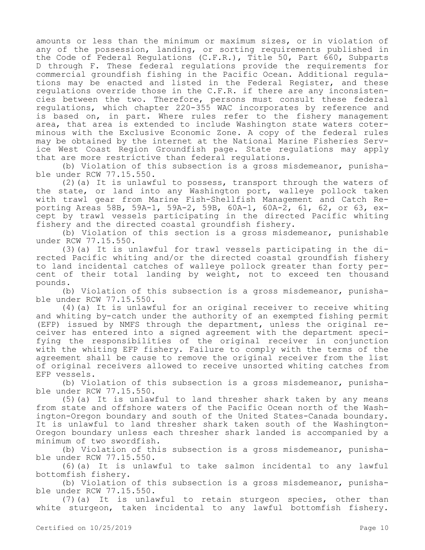amounts or less than the minimum or maximum sizes, or in violation of any of the possession, landing, or sorting requirements published in the Code of Federal Regulations (C.F.R.), Title 50, Part 660, Subparts D through F. These federal regulations provide the requirements for commercial groundfish fishing in the Pacific Ocean. Additional regulations may be enacted and listed in the Federal Register, and these regulations override those in the C.F.R. if there are any inconsistencies between the two. Therefore, persons must consult these federal regulations, which chapter 220-355 WAC incorporates by reference and is based on, in part. Where rules refer to the fishery management area, that area is extended to include Washington state waters coterminous with the Exclusive Economic Zone. A copy of the federal rules may be obtained by the internet at the National Marine Fisheries Service West Coast Region Groundfish page. State regulations may apply that are more restrictive than federal regulations.

(b) Violation of this subsection is a gross misdemeanor, punishable under RCW 77.15.550.

(2)(a) It is unlawful to possess, transport through the waters of the state, or land into any Washington port, walleye pollock taken with trawl gear from Marine Fish-Shellfish Management and Catch Reporting Areas 58B, 59A-1, 59A-2, 59B, 60A-1, 60A-2, 61, 62, or 63, except by trawl vessels participating in the directed Pacific whiting fishery and the directed coastal groundfish fishery.

(b) Violation of this section is a gross misdemeanor, punishable under RCW 77.15.550.

(3)(a) It is unlawful for trawl vessels participating in the directed Pacific whiting and/or the directed coastal groundfish fishery to land incidental catches of walleye pollock greater than forty percent of their total landing by weight, not to exceed ten thousand pounds.

(b) Violation of this subsection is a gross misdemeanor, punishable under RCW 77.15.550.

(4)(a) It is unlawful for an original receiver to receive whiting and whiting by-catch under the authority of an exempted fishing permit (EFP) issued by NMFS through the department, unless the original receiver has entered into a signed agreement with the department specifying the responsibilities of the original receiver in conjunction with the whiting EFP fishery. Failure to comply with the terms of the agreement shall be cause to remove the original receiver from the list of original receivers allowed to receive unsorted whiting catches from EFP vessels.

(b) Violation of this subsection is a gross misdemeanor, punishable under RCW 77.15.550.

(5)(a) It is unlawful to land thresher shark taken by any means from state and offshore waters of the Pacific Ocean north of the Washington-Oregon boundary and south of the United States-Canada boundary. It is unlawful to land thresher shark taken south of the Washington-Oregon boundary unless each thresher shark landed is accompanied by a minimum of two swordfish.

(b) Violation of this subsection is a gross misdemeanor, punishable under RCW 77.15.550.

(6)(a) It is unlawful to take salmon incidental to any lawful bottomfish fishery.

(b) Violation of this subsection is a gross misdemeanor, punishable under RCW 77.15.550.

(7)(a) It is unlawful to retain sturgeon species, other than white sturgeon, taken incidental to any lawful bottomfish fishery.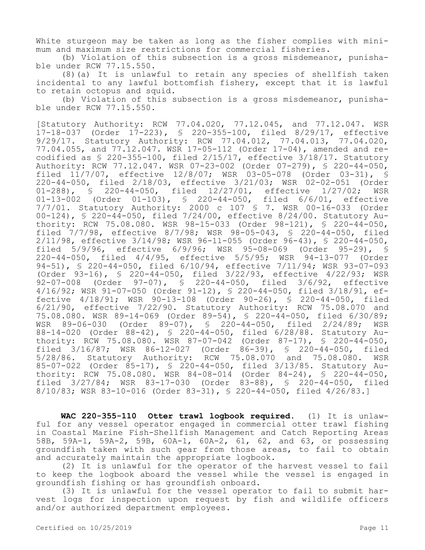White sturgeon may be taken as long as the fisher complies with minimum and maximum size restrictions for commercial fisheries.

(b) Violation of this subsection is a gross misdemeanor, punishable under RCW 77.15.550.

(8)(a) It is unlawful to retain any species of shellfish taken incidental to any lawful bottomfish fishery, except that it is lawful to retain octopus and squid.

(b) Violation of this subsection is a gross misdemeanor, punishable under RCW 77.15.550.

[Statutory Authority: RCW 77.04.020, 77.12.045, and 77.12.047. WSR 17-18-037 (Order 17-223), § 220-355-100, filed 8/29/17, effective 9/29/17. Statutory Authority: RCW 77.04.012, 77.04.013, 77.04.020, 77.04.055, and 77.12.047. WSR 17-05-112 (Order 17-04), amended and recodified as § 220-355-100, filed 2/15/17, effective 3/18/17. Statutory Authority: RCW 77.12.047. WSR 07-23-002 (Order 07-279), § 220-44-050, filed 11/7/07, effective 12/8/07; WSR 03-05-078 (Order 03-31), § 220-44-050, filed 2/18/03, effective 3/21/03; WSR 02-02-051 (Order 01-288), § 220-44-050, filed 12/27/01, effective 1/27/02; WSR<br>01-13-002 (Order 01-103), § 220-44-050, filed 6/6/01, effective  $01-13-002$  (Order  $01-103$ ), § 220-44-050, 7/7/01. Statutory Authority: 2000 c 107 § 7. WSR 00-16-033 (Order 00-124), § 220-44-050, filed 7/24/00, effective 8/24/00. Statutory Authority: RCW 75.08.080. WSR 98-15-033 (Order 98-121), § 220-44-050, filed 7/7/98, effective 8/7/98; WSR 98-05-043, § 220-44-050, filed 2/11/98, effective 3/14/98; WSR 96-11-055 (Order 96-43), § 220-44-050, filed 5/9/96, effective 6/9/96; WSR 95-08-069 (Order 95-29), § 220-44-050, filed 4/4/95, effective 5/5/95; WSR 94-13-077 (Order 94-51), § 220-44-050, filed 6/10/94, effective 7/11/94; WSR 93-07-093 (Order 93-16), § 220-44-050, filed 3/22/93, effective 4/22/93; WSR 92-07-008 (Order 97-07), § 220-44-050, filed 3/6/92, effective 4/16/92; WSR 91-07-050 (Order 91-12), § 220-44-050, filed 3/18/91, effective 4/18/91; WSR 90-13-108 (Order 90-26), § 220-44-050, filed 6/21/90, effective 7/22/90. Statutory Authority: RCW 75.08.070 and 75.08.080. WSR 89-14-069 (Order 89-54), § 220-44-050, filed 6/30/89; WSR 89-06-030 (Order 89-07), § 220-44-050, filed 2/24/89; WSR 88-14-020 (Order 88-42), § 220-44-050, filed 6/28/88. Statutory Authority: RCW 75.08.080. WSR 87-07-042 (Order 87-17), § 220-44-050, filed 3/16/87; WSR 86-12-027 (Order 86-39), § 220-44-050, filed 5/28/86. Statutory Authority: RCW 75.08.070 and 75.08.080. WSR 85-07-022 (Order 85-17), § 220-44-050, filed 3/13/85. Statutory Authority: RCW 75.08.080. WSR 84-08-014 (Order 84-24), § 220-44-050, filed 3/27/84; WSR 83-17-030 (Order 83-88), § 220-44-050, filed 8/10/83; WSR 83-10-016 (Order 83-31), § 220-44-050, filed 4/26/83.]

**WAC 220-355-110 Otter trawl logbook required.** (1) It is unlawful for any vessel operator engaged in commercial otter trawl fishing in Coastal Marine Fish-Shellfish Management and Catch Reporting Areas 58B, 59A-1, 59A-2, 59B, 60A-1, 60A-2, 61, 62, and 63, or possessing groundfish taken with such gear from those areas, to fail to obtain and accurately maintain the appropriate logbook.

(2) It is unlawful for the operator of the harvest vessel to fail to keep the logbook aboard the vessel while the vessel is engaged in groundfish fishing or has groundfish onboard.

(3) It is unlawful for the vessel operator to fail to submit harvest logs for inspection upon request by fish and wildlife officers and/or authorized department employees.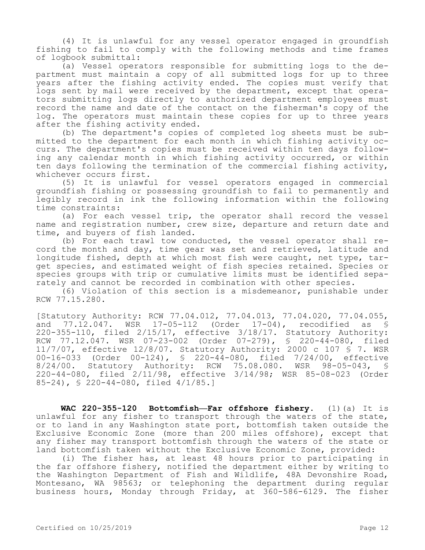(4) It is unlawful for any vessel operator engaged in groundfish fishing to fail to comply with the following methods and time frames of logbook submittal:

(a) Vessel operators responsible for submitting logs to the department must maintain a copy of all submitted logs for up to three years after the fishing activity ended. The copies must verify that logs sent by mail were received by the department, except that operators submitting logs directly to authorized department employees must record the name and date of the contact on the fisherman's copy of the log. The operators must maintain these copies for up to three years after the fishing activity ended.

(b) The department's copies of completed log sheets must be submitted to the department for each month in which fishing activity occurs. The department's copies must be received within ten days following any calendar month in which fishing activity occurred, or within ten days following the termination of the commercial fishing activity, whichever occurs first.

(5) It is unlawful for vessel operators engaged in commercial groundfish fishing or possessing groundfish to fail to permanently and legibly record in ink the following information within the following time constraints:

(a) For each vessel trip, the operator shall record the vessel name and registration number, crew size, departure and return date and time, and buyers of fish landed.

(b) For each trawl tow conducted, the vessel operator shall record the month and day, time gear was set and retrieved, latitude and longitude fished, depth at which most fish were caught, net type, target species, and estimated weight of fish species retained. Species or species groups with trip or cumulative limits must be identified separately and cannot be recorded in combination with other species.

(6) Violation of this section is a misdemeanor, punishable under RCW 77.15.280.

[Statutory Authority: RCW 77.04.012, 77.04.013, 77.04.020, 77.04.055, and 77.12.047. WSR 17-05-112 (Order 17-04), recodified as § 220-355-110, filed 2/15/17, effective 3/18/17. Statutory Authority: RCW 77.12.047. WSR 07-23-002 (Order 07-279), § 220-44-080, filed 11/7/07, effective 12/8/07. Statutory Authority: 2000 c 107 § 7. WSR 00-16-033 (Order 00-124), § 220-44-080, filed 7/24/00, effective 8/24/00. Statutory Authority: RCW 75.08.080. WSR 98-05-043, § 220-44-080, filed 2/11/98, effective 3/14/98; WSR 85-08-023 (Order 85-24), § 220-44-080, filed 4/1/85.]

**WAC 220-355-120 Bottomfish—Far offshore fishery.** (1)(a) It is unlawful for any fisher to transport through the waters of the state, or to land in any Washington state port, bottomfish taken outside the Exclusive Economic Zone (more than 200 miles offshore), except that any fisher may transport bottomfish through the waters of the state or land bottomfish taken without the Exclusive Economic Zone, provided:

(i) The fisher has, at least 48 hours prior to participating in the far offshore fishery, notified the department either by writing to the Washington Department of Fish and Wildlife, 48A Devonshire Road, Montesano, WA 98563; or telephoning the department during regular business hours, Monday through Friday, at 360-586-6129. The fisher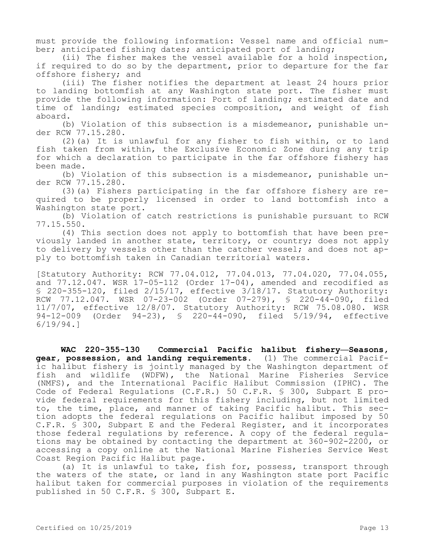must provide the following information: Vessel name and official number; anticipated fishing dates; anticipated port of landing;

(ii) The fisher makes the vessel available for a hold inspection, if required to do so by the department, prior to departure for the far offshore fishery; and

(iii) The fisher notifies the department at least 24 hours prior to landing bottomfish at any Washington state port. The fisher must provide the following information: Port of landing; estimated date and time of landing; estimated species composition, and weight of fish aboard.

(b) Violation of this subsection is a misdemeanor, punishable under RCW 77.15.280.

(2)(a) It is unlawful for any fisher to fish within, or to land fish taken from within, the Exclusive Economic Zone during any trip for which a declaration to participate in the far offshore fishery has been made.

(b) Violation of this subsection is a misdemeanor, punishable under RCW 77.15.280.

(3)(a) Fishers participating in the far offshore fishery are required to be properly licensed in order to land bottomfish into a Washington state port.

(b) Violation of catch restrictions is punishable pursuant to RCW 77.15.550.

(4) This section does not apply to bottomfish that have been previously landed in another state, territory, or country; does not apply to delivery by vessels other than the catcher vessel; and does not apply to bottomfish taken in Canadian territorial waters.

[Statutory Authority: RCW 77.04.012, 77.04.013, 77.04.020, 77.04.055, and 77.12.047. WSR 17-05-112 (Order 17-04), amended and recodified as § 220-355-120, filed 2/15/17, effective 3/18/17. Statutory Authority: RCW 77.12.047. WSR 07-23-002 (Order 07-279), § 220-44-090, filed 11/7/07, effective 12/8/07. Statutory Authority: RCW 75.08.080. WSR 94-12-009 (Order 94-23), § 220-44-090, filed 5/19/94, effective 6/19/94.]

**WAC 220-355-130 Commercial Pacific halibut fishery—Seasons, gear, possession, and landing requirements.** (1) The commercial Pacific halibut fishery is jointly managed by the Washington department of fish and wildlife (WDFW), the National Marine Fisheries Service (NMFS), and the International Pacific Halibut Commission (IPHC). The Code of Federal Regulations (C.F.R.) 50 C.F.R. § 300, Subpart E provide federal requirements for this fishery including, but not limited to, the time, place, and manner of taking Pacific halibut. This section adopts the federal regulations on Pacific halibut imposed by 50 C.F.R. § 300, Subpart E and the Federal Register, and it incorporates those federal regulations by reference. A copy of the federal regulations may be obtained by contacting the department at 360-902-2200, or accessing a copy online at the National Marine Fisheries Service West Coast Region Pacific Halibut page.

(a) It is unlawful to take, fish for, possess, transport through the waters of the state, or land in any Washington state port Pacific halibut taken for commercial purposes in violation of the requirements published in 50 C.F.R. § 300, Subpart E.